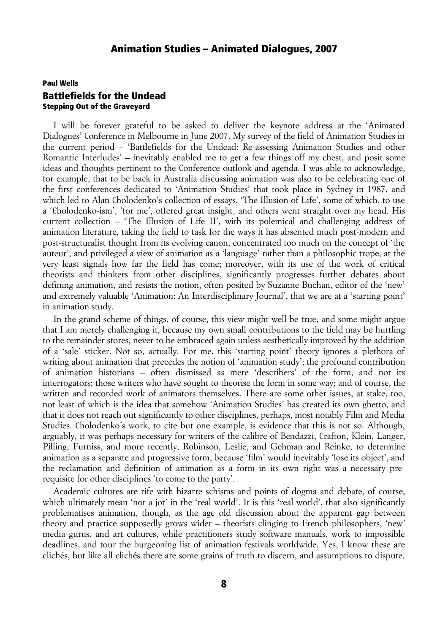## Paul Wells Battlefields for the Undead Stepping Out of the Graveyard

I will be forever grateful to be asked to deliver the keynote address at the 'Animated Dialogues' Conference in Melbourne in June 2007. My survey of the field of Animation Studies in the current period – 'Battlefields for the Undead: Re-assessing Animation Studies and other Romantic Interludes' – inevitably enabled me to get a few things off my chest, and posit some ideas and thoughts pertinent to the Conference outlook and agenda. I was able to acknowledge, for example, that to be back in Australia discussing animation was also to be celebrating one of the first conferences dedicated to 'Animation Studies' that took place in Sydney in 1987, and which led to Alan Cholodenko's collection of essays, 'The Illusion of Life', some of which, to use a 'Cholodenko-ism', 'for me', offered great insight, and others went straight over my head. His current collection – 'The Illusion of Life II', with its polemical and challenging address of animation literature, taking the field to task for the ways it has absented much post-modern and post-structuralist thought from its evolving canon, concentrated too much on the concept of 'the auteur', and privileged a view of animation as a 'language' rather than a philosophic trope, at the very least signals how far the field has come; moreover, with its use of the work of critical theorists and thinkers from other disciplines, significantly progresses further debates about defining animation, and resists the notion, often posited by Suzanne Buchan, editor of the 'new' and extremely valuable 'Animation: An Interdisciplinary Journal', that we are at a 'starting point' in animation study.

In the grand scheme of things, of course, this view might well be true, and some might argue that I am merely challenging it, because my own small contributions to the field may be hurtling to the remainder stores, never to be embraced again unless aesthetically improved by the addition of a 'sale' sticker. Not so, actually. For me, this 'starting point' theory ignores a plethora of writing about animation that precedes the notion of 'animation study'; the profound contribution of animation historians – often dismissed as mere 'describers' of the form, and not its interrogators; those writers who have sought to theorise the form in some way; and of course, the written and recorded work of animators themselves. There are some other issues, at stake, too, not least of which is the idea that somehow 'Animation Studies' has created its own ghetto, and that it does not reach out significantly to other disciplines, perhaps, most notably Film and Media Studies. Cholodenko's work, to cite but one example, is evidence that this is not so. Although, arguably, it was perhaps necessary for writers of the calibre of Bendazzi, Crafton, Klein, Langer, Pilling, Furniss, and more recently, Robinson, Leslie, and Gehman and Reinke, to determine animation as a separate and progressive form, because 'film' would inevitably 'lose its object', and the reclamation and definition of animation as a form in its own right was a necessary prerequisite for other disciplines 'to come to the party'.

Academic cultures are rife with bizarre schisms and points of dogma and debate, of course, which ultimately mean 'not a jot' in the 'real world'. It is this 'real world', that also significantly problematises animation, though, as the age old discussion about the apparent gap between theory and practice supposedly grows wider – theorists clinging to French philosophers, 'new' media gurus, and art cultures, while practitioners study software manuals, work to impossible deadlines, and tour the burgeoning list of animation festivals worldwide. Yes, I know these are clichés, but like all clichés there are some grains of truth to discern, and assumptions to dispute.